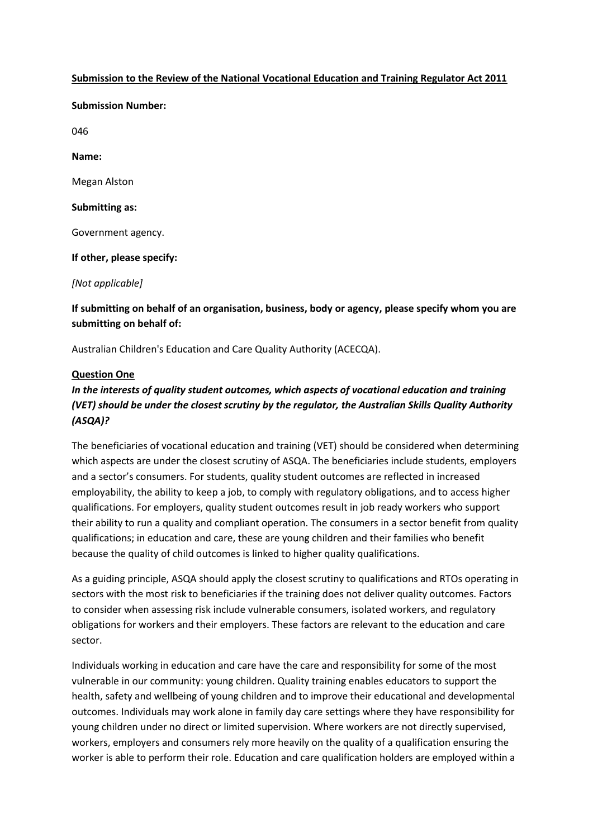### **Submission to the Review of the National Vocational Education and Training Regulator Act 2011**

**Submission Number:** 

046

**Name:** 

Megan Alston

### **Submitting as:**

Government agency.

**If other, please specify:**

*[Not applicable]*

**If submitting on behalf of an organisation, business, body or agency, please specify whom you are submitting on behalf of:**

Australian Children's Education and Care Quality Authority (ACECQA).

### **Question One**

# *In the interests of quality student outcomes, which aspects of vocational education and training (VET) should be under the closest scrutiny by the regulator, the Australian Skills Quality Authority (ASQA)?*

The beneficiaries of vocational education and training (VET) should be considered when determining which aspects are under the closest scrutiny of ASQA. The beneficiaries include students, employers and a sector's consumers. For students, quality student outcomes are reflected in increased employability, the ability to keep a job, to comply with regulatory obligations, and to access higher qualifications. For employers, quality student outcomes result in job ready workers who support their ability to run a quality and compliant operation. The consumers in a sector benefit from quality qualifications; in education and care, these are young children and their families who benefit because the quality of child outcomes is linked to higher quality qualifications.

As a guiding principle, ASQA should apply the closest scrutiny to qualifications and RTOs operating in sectors with the most risk to beneficiaries if the training does not deliver quality outcomes. Factors to consider when assessing risk include vulnerable consumers, isolated workers, and regulatory obligations for workers and their employers. These factors are relevant to the education and care sector.

Individuals working in education and care have the care and responsibility for some of the most vulnerable in our community: young children. Quality training enables educators to support the health, safety and wellbeing of young children and to improve their educational and developmental outcomes. Individuals may work alone in family day care settings where they have responsibility for young children under no direct or limited supervision. Where workers are not directly supervised, workers, employers and consumers rely more heavily on the quality of a qualification ensuring the worker is able to perform their role. Education and care qualification holders are employed within a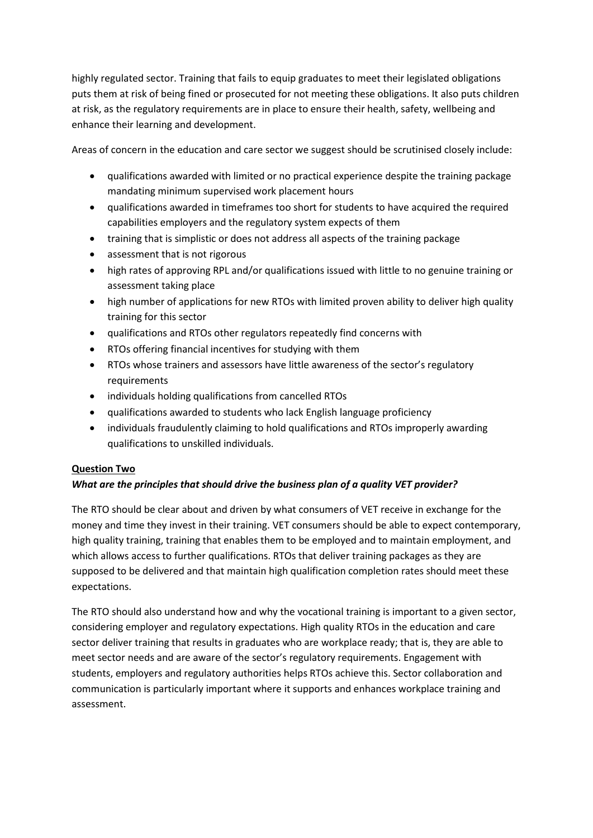highly regulated sector. Training that fails to equip graduates to meet their legislated obligations puts them at risk of being fined or prosecuted for not meeting these obligations. It also puts children at risk, as the regulatory requirements are in place to ensure their health, safety, wellbeing and enhance their learning and development.

Areas of concern in the education and care sector we suggest should be scrutinised closely include:

- qualifications awarded with limited or no practical experience despite the training package mandating minimum supervised work placement hours
- qualifications awarded in timeframes too short for students to have acquired the required capabilities employers and the regulatory system expects of them
- training that is simplistic or does not address all aspects of the training package
- assessment that is not rigorous
- high rates of approving RPL and/or qualifications issued with little to no genuine training or assessment taking place
- high number of applications for new RTOs with limited proven ability to deliver high quality training for this sector
- qualifications and RTOs other regulators repeatedly find concerns with
- RTOs offering financial incentives for studying with them
- RTOs whose trainers and assessors have little awareness of the sector's regulatory requirements
- individuals holding qualifications from cancelled RTOs
- qualifications awarded to students who lack English language proficiency
- individuals fraudulently claiming to hold qualifications and RTOs improperly awarding qualifications to unskilled individuals.

### **Question Two**

### *What are the principles that should drive the business plan of a quality VET provider?*

The RTO should be clear about and driven by what consumers of VET receive in exchange for the money and time they invest in their training. VET consumers should be able to expect contemporary, high quality training, training that enables them to be employed and to maintain employment, and which allows access to further qualifications. RTOs that deliver training packages as they are supposed to be delivered and that maintain high qualification completion rates should meet these expectations.

The RTO should also understand how and why the vocational training is important to a given sector, considering employer and regulatory expectations. High quality RTOs in the education and care sector deliver training that results in graduates who are workplace ready; that is, they are able to meet sector needs and are aware of the sector's regulatory requirements. Engagement with students, employers and regulatory authorities helps RTOs achieve this. Sector collaboration and communication is particularly important where it supports and enhances workplace training and assessment.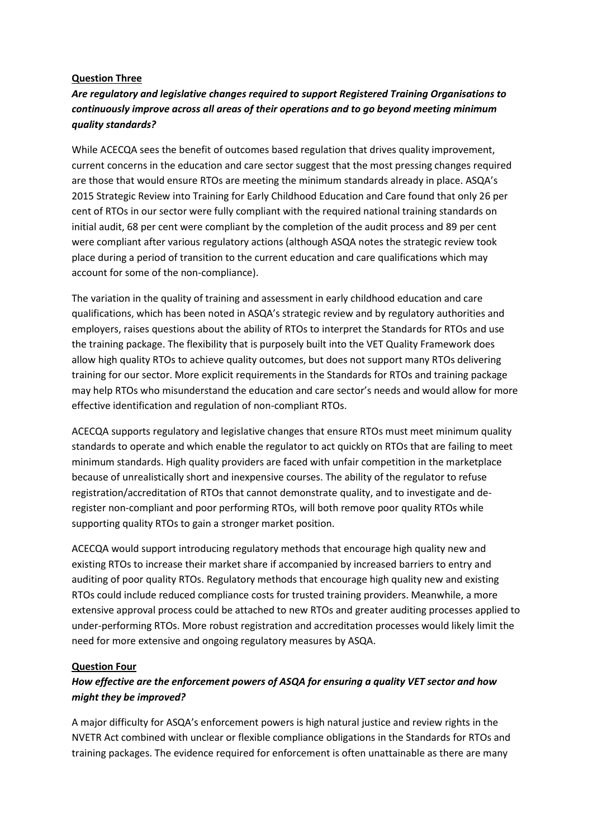### **Question Three**

## *Are regulatory and legislative changes required to support Registered Training Organisations to continuously improve across all areas of their operations and to go beyond meeting minimum quality standards?*

While ACECQA sees the benefit of outcomes based regulation that drives quality improvement, current concerns in the education and care sector suggest that the most pressing changes required are those that would ensure RTOs are meeting the minimum standards already in place. ASQA's 2015 Strategic Review into Training for Early Childhood Education and Care found that only 26 per cent of RTOs in our sector were fully compliant with the required national training standards on initial audit, 68 per cent were compliant by the completion of the audit process and 89 per cent were compliant after various regulatory actions (although ASQA notes the strategic review took place during a period of transition to the current education and care qualifications which may account for some of the non-compliance).

The variation in the quality of training and assessment in early childhood education and care qualifications, which has been noted in ASQA's strategic review and by regulatory authorities and employers, raises questions about the ability of RTOs to interpret the Standards for RTOs and use the training package. The flexibility that is purposely built into the VET Quality Framework does allow high quality RTOs to achieve quality outcomes, but does not support many RTOs delivering training for our sector. More explicit requirements in the Standards for RTOs and training package may help RTOs who misunderstand the education and care sector's needs and would allow for more effective identification and regulation of non-compliant RTOs.

ACECQA supports regulatory and legislative changes that ensure RTOs must meet minimum quality standards to operate and which enable the regulator to act quickly on RTOs that are failing to meet minimum standards. High quality providers are faced with unfair competition in the marketplace because of unrealistically short and inexpensive courses. The ability of the regulator to refuse registration/accreditation of RTOs that cannot demonstrate quality, and to investigate and deregister non-compliant and poor performing RTOs, will both remove poor quality RTOs while supporting quality RTOs to gain a stronger market position.

ACECQA would support introducing regulatory methods that encourage high quality new and existing RTOs to increase their market share if accompanied by increased barriers to entry and auditing of poor quality RTOs. Regulatory methods that encourage high quality new and existing RTOs could include reduced compliance costs for trusted training providers. Meanwhile, a more extensive approval process could be attached to new RTOs and greater auditing processes applied to under-performing RTOs. More robust registration and accreditation processes would likely limit the need for more extensive and ongoing regulatory measures by ASQA.

### **Question Four**

## *How effective are the enforcement powers of ASQA for ensuring a quality VET sector and how might they be improved?*

A major difficulty for ASQA's enforcement powers is high natural justice and review rights in the NVETR Act combined with unclear or flexible compliance obligations in the Standards for RTOs and training packages. The evidence required for enforcement is often unattainable as there are many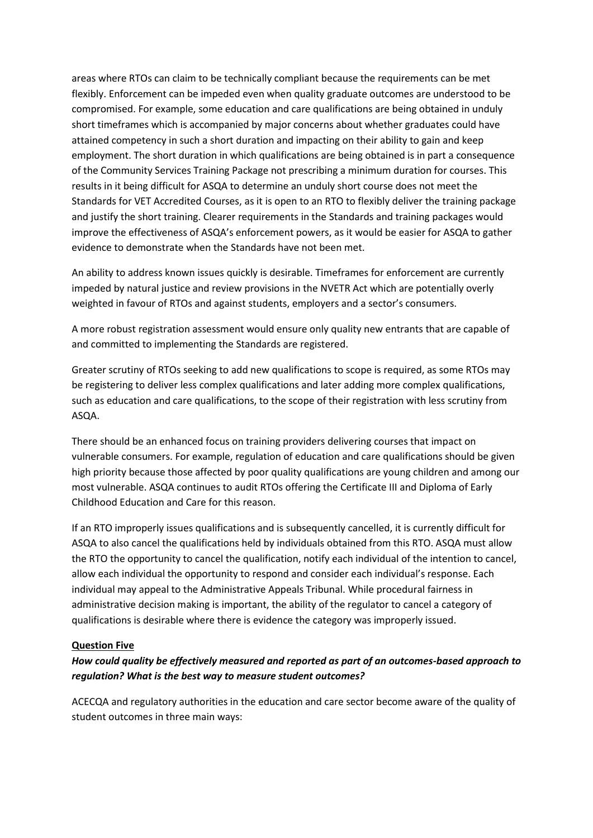areas where RTOs can claim to be technically compliant because the requirements can be met flexibly. Enforcement can be impeded even when quality graduate outcomes are understood to be compromised. For example, some education and care qualifications are being obtained in unduly short timeframes which is accompanied by major concerns about whether graduates could have attained competency in such a short duration and impacting on their ability to gain and keep employment. The short duration in which qualifications are being obtained is in part a consequence of the Community Services Training Package not prescribing a minimum duration for courses. This results in it being difficult for ASQA to determine an unduly short course does not meet the Standards for VET Accredited Courses, as it is open to an RTO to flexibly deliver the training package and justify the short training. Clearer requirements in the Standards and training packages would improve the effectiveness of ASQA's enforcement powers, as it would be easier for ASQA to gather evidence to demonstrate when the Standards have not been met.

An ability to address known issues quickly is desirable. Timeframes for enforcement are currently impeded by natural justice and review provisions in the NVETR Act which are potentially overly weighted in favour of RTOs and against students, employers and a sector's consumers.

A more robust registration assessment would ensure only quality new entrants that are capable of and committed to implementing the Standards are registered.

Greater scrutiny of RTOs seeking to add new qualifications to scope is required, as some RTOs may be registering to deliver less complex qualifications and later adding more complex qualifications, such as education and care qualifications, to the scope of their registration with less scrutiny from ASQA.

There should be an enhanced focus on training providers delivering courses that impact on vulnerable consumers. For example, regulation of education and care qualifications should be given high priority because those affected by poor quality qualifications are young children and among our most vulnerable. ASQA continues to audit RTOs offering the Certificate III and Diploma of Early Childhood Education and Care for this reason.

If an RTO improperly issues qualifications and is subsequently cancelled, it is currently difficult for ASQA to also cancel the qualifications held by individuals obtained from this RTO. ASQA must allow the RTO the opportunity to cancel the qualification, notify each individual of the intention to cancel, allow each individual the opportunity to respond and consider each individual's response. Each individual may appeal to the Administrative Appeals Tribunal. While procedural fairness in administrative decision making is important, the ability of the regulator to cancel a category of qualifications is desirable where there is evidence the category was improperly issued.

#### **Question Five**

## *How could quality be effectively measured and reported as part of an outcomes-based approach to regulation? What is the best way to measure student outcomes?*

ACECQA and regulatory authorities in the education and care sector become aware of the quality of student outcomes in three main ways: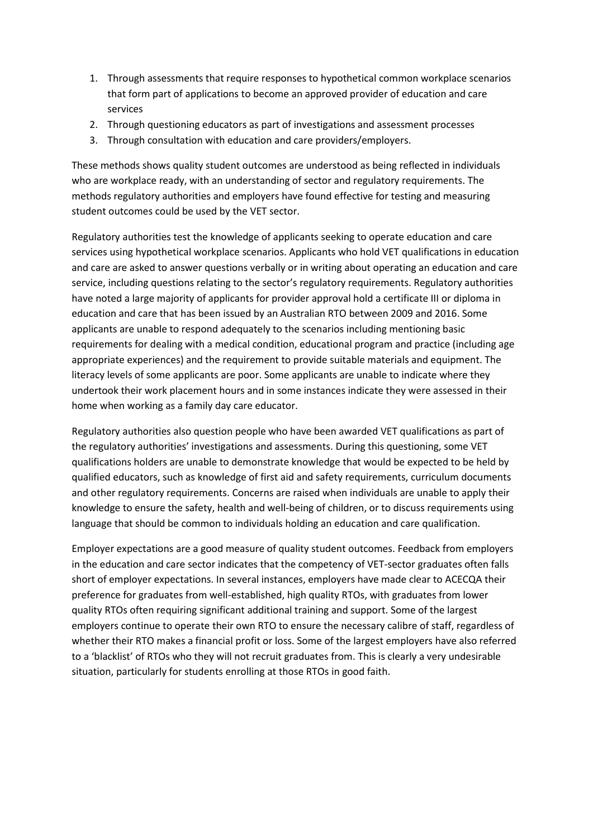- 1. Through assessments that require responses to hypothetical common workplace scenarios that form part of applications to become an approved provider of education and care services
- 2. Through questioning educators as part of investigations and assessment processes
- 3. Through consultation with education and care providers/employers.

These methods shows quality student outcomes are understood as being reflected in individuals who are workplace ready, with an understanding of sector and regulatory requirements. The methods regulatory authorities and employers have found effective for testing and measuring student outcomes could be used by the VET sector.

Regulatory authorities test the knowledge of applicants seeking to operate education and care services using hypothetical workplace scenarios. Applicants who hold VET qualifications in education and care are asked to answer questions verbally or in writing about operating an education and care service, including questions relating to the sector's regulatory requirements. Regulatory authorities have noted a large majority of applicants for provider approval hold a certificate III or diploma in education and care that has been issued by an Australian RTO between 2009 and 2016. Some applicants are unable to respond adequately to the scenarios including mentioning basic requirements for dealing with a medical condition, educational program and practice (including age appropriate experiences) and the requirement to provide suitable materials and equipment. The literacy levels of some applicants are poor. Some applicants are unable to indicate where they undertook their work placement hours and in some instances indicate they were assessed in their home when working as a family day care educator.

Regulatory authorities also question people who have been awarded VET qualifications as part of the regulatory authorities' investigations and assessments. During this questioning, some VET qualifications holders are unable to demonstrate knowledge that would be expected to be held by qualified educators, such as knowledge of first aid and safety requirements, curriculum documents and other regulatory requirements. Concerns are raised when individuals are unable to apply their knowledge to ensure the safety, health and well-being of children, or to discuss requirements using language that should be common to individuals holding an education and care qualification.

Employer expectations are a good measure of quality student outcomes. Feedback from employers in the education and care sector indicates that the competency of VET-sector graduates often falls short of employer expectations. In several instances, employers have made clear to ACECQA their preference for graduates from well-established, high quality RTOs, with graduates from lower quality RTOs often requiring significant additional training and support. Some of the largest employers continue to operate their own RTO to ensure the necessary calibre of staff, regardless of whether their RTO makes a financial profit or loss. Some of the largest employers have also referred to a 'blacklist' of RTOs who they will not recruit graduates from. This is clearly a very undesirable situation, particularly for students enrolling at those RTOs in good faith.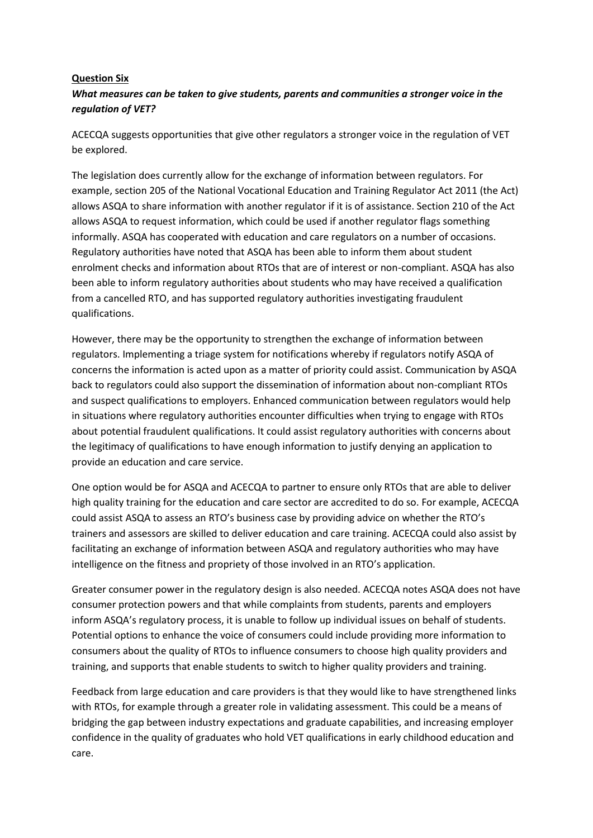### **Question Six**

### *What measures can be taken to give students, parents and communities a stronger voice in the regulation of VET?*

ACECQA suggests opportunities that give other regulators a stronger voice in the regulation of VET be explored.

The legislation does currently allow for the exchange of information between regulators. For example, section 205 of the National Vocational Education and Training Regulator Act 2011 (the Act) allows ASQA to share information with another regulator if it is of assistance. Section 210 of the Act allows ASQA to request information, which could be used if another regulator flags something informally. ASQA has cooperated with education and care regulators on a number of occasions. Regulatory authorities have noted that ASQA has been able to inform them about student enrolment checks and information about RTOs that are of interest or non-compliant. ASQA has also been able to inform regulatory authorities about students who may have received a qualification from a cancelled RTO, and has supported regulatory authorities investigating fraudulent qualifications.

However, there may be the opportunity to strengthen the exchange of information between regulators. Implementing a triage system for notifications whereby if regulators notify ASQA of concerns the information is acted upon as a matter of priority could assist. Communication by ASQA back to regulators could also support the dissemination of information about non-compliant RTOs and suspect qualifications to employers. Enhanced communication between regulators would help in situations where regulatory authorities encounter difficulties when trying to engage with RTOs about potential fraudulent qualifications. It could assist regulatory authorities with concerns about the legitimacy of qualifications to have enough information to justify denying an application to provide an education and care service.

One option would be for ASQA and ACECQA to partner to ensure only RTOs that are able to deliver high quality training for the education and care sector are accredited to do so. For example, ACECQA could assist ASQA to assess an RTO's business case by providing advice on whether the RTO's trainers and assessors are skilled to deliver education and care training. ACECQA could also assist by facilitating an exchange of information between ASQA and regulatory authorities who may have intelligence on the fitness and propriety of those involved in an RTO's application.

Greater consumer power in the regulatory design is also needed. ACECQA notes ASQA does not have consumer protection powers and that while complaints from students, parents and employers inform ASQA's regulatory process, it is unable to follow up individual issues on behalf of students. Potential options to enhance the voice of consumers could include providing more information to consumers about the quality of RTOs to influence consumers to choose high quality providers and training, and supports that enable students to switch to higher quality providers and training.

Feedback from large education and care providers is that they would like to have strengthened links with RTOs, for example through a greater role in validating assessment. This could be a means of bridging the gap between industry expectations and graduate capabilities, and increasing employer confidence in the quality of graduates who hold VET qualifications in early childhood education and care.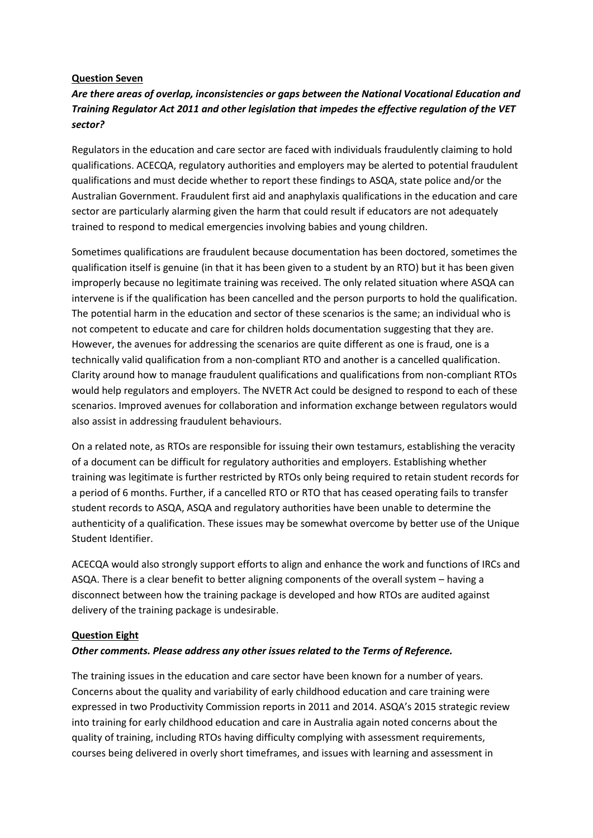### **Question Seven**

### *Are there areas of overlap, inconsistencies or gaps between the National Vocational Education and Training Regulator Act 2011 and other legislation that impedes the effective regulation of the VET sector?*

Regulators in the education and care sector are faced with individuals fraudulently claiming to hold qualifications. ACECQA, regulatory authorities and employers may be alerted to potential fraudulent qualifications and must decide whether to report these findings to ASQA, state police and/or the Australian Government. Fraudulent first aid and anaphylaxis qualifications in the education and care sector are particularly alarming given the harm that could result if educators are not adequately trained to respond to medical emergencies involving babies and young children.

Sometimes qualifications are fraudulent because documentation has been doctored, sometimes the qualification itself is genuine (in that it has been given to a student by an RTO) but it has been given improperly because no legitimate training was received. The only related situation where ASQA can intervene is if the qualification has been cancelled and the person purports to hold the qualification. The potential harm in the education and sector of these scenarios is the same; an individual who is not competent to educate and care for children holds documentation suggesting that they are. However, the avenues for addressing the scenarios are quite different as one is fraud, one is a technically valid qualification from a non-compliant RTO and another is a cancelled qualification. Clarity around how to manage fraudulent qualifications and qualifications from non-compliant RTOs would help regulators and employers. The NVETR Act could be designed to respond to each of these scenarios. Improved avenues for collaboration and information exchange between regulators would also assist in addressing fraudulent behaviours.

On a related note, as RTOs are responsible for issuing their own testamurs, establishing the veracity of a document can be difficult for regulatory authorities and employers. Establishing whether training was legitimate is further restricted by RTOs only being required to retain student records for a period of 6 months. Further, if a cancelled RTO or RTO that has ceased operating fails to transfer student records to ASQA, ASQA and regulatory authorities have been unable to determine the authenticity of a qualification. These issues may be somewhat overcome by better use of the Unique Student Identifier.

ACECQA would also strongly support efforts to align and enhance the work and functions of IRCs and ASQA. There is a clear benefit to better aligning components of the overall system – having a disconnect between how the training package is developed and how RTOs are audited against delivery of the training package is undesirable.

#### **Question Eight**

#### *Other comments. Please address any other issues related to the Terms of Reference.*

The training issues in the education and care sector have been known for a number of years. Concerns about the quality and variability of early childhood education and care training were expressed in two Productivity Commission reports in 2011 and 2014. ASQA's 2015 strategic review into training for early childhood education and care in Australia again noted concerns about the quality of training, including RTOs having difficulty complying with assessment requirements, courses being delivered in overly short timeframes, and issues with learning and assessment in